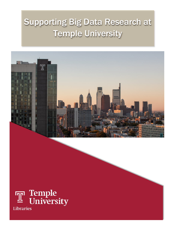# Supporting Big Data Research at Temple University



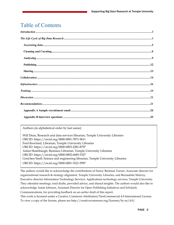# Table of Contents

Authors (in alphabetical order by last name):

Will Dean, Research and data services librarian, Temple University Libraries ORCID: https://orcid.org/0000-0001-7871-9611 Fred Rowland, Librarian, Temple University Libraries ORCID: https://orcid.org/0000-0003-2281-8797 Adam Shambaugh, Business Librarian, Temple University Libraries ORCID: https://orcid.org/0000-0002-6685-3327 Gretchen Sneff, Science and engineering librarian, Temple University Libraries ORCID: https://orcid.org/0000-0001-7621-5997

<span id="page-1-0"></span>The authors would like to acknowledge the contributions of Nancy Bartman Turner, Associate director for organizational research & strategy alignment, Temple University Libraries, and Bernadette Mulvey, Executive director Information Technology Services: Applications technology services, Temple University. They attended meetings, read drafts, provided advice, and shared insights. The authors would also like to acknowledge Annie Johnson, Assistant Director for Open Publishing Initiatives and Scholarly Communications, for providing feedback on an earlier draft of this report. This work is licensed under a Creative Commons Attribution/NonCommercial 4.0 International License. To view a copy of the license, please see http://creativecommons.org/licenses/by-nc/4.0/.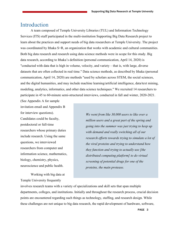# Introduction

A team composed of Temple University Libraries (TUL) and Information Technology Services (ITS) staff participated in the multi-institution Supporting Big Data Research project to learn about the practices and support needs of big data researchers at Temple University. The project was coordinated by Ithaka S+R, an organization that works with academic and cultural communities. Both big data research and research using data science methods were in scope for this study. Big data research, according to Ithaka's definition (personal communication, April 14, 2020) is "conducted with data that is high in volume, velocity, and variety – that is, with large, diverse datasets that are often collected in real time." Data science methods, as described by Ithaka (personal communication, April 14, 2020) are methods "used by scholars across STEM, the social sciences, and the digital humanities, and may include machine learning/artificial intelligence, data/text mining, modeling, analytics, informatics, and other data science techniques." We recruited 14 researchers to participate in 45 to 60-minute semi-structured interviews, conducted in fall and winter, 2020-2021.

(See Appendix A for sample invitation email and Appendix B for interview questions). Candidates could be faculty, postdoctoral or full-time researchers whose primary duties include research. Using the same questions, we interviewed researchers from computer and information science, mathematics, biology, chemistry, physics, neuroscience and public health.

Working with big data at Temple University frequently

*We went from like 30,000 users to like over a million users and a great part of the spring and going into the summer was just trying to keep up with demand and really switching all of our research efforts towards trying to simulate a lot of the viral proteins and trying to understand how they function and trying to actually use [the distributed computing platform] to do virtual screening of potential drugs for one of the proteins, the main protease.* 

involves research teams with a variety of specializations and skill sets that span multiple departments, colleges, and institutions. Initially and throughout the research process, crucial decision points are encountered regarding such things as technology, staffing, and research design. While these challenges are not unique to big data research, the rapid development of hardware, software,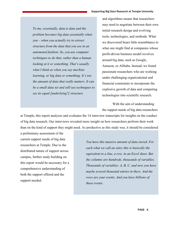#### Supporting Big Data Research at Temple University

*To me, essentially, data is data and the problem becomes big data essentially when you – when you actually try to extract structure from the data that you see in an automated fashion. So, you use computer techniques to do that, rather than a human looking at it or something. That's usually what I think as when you say machine learning, or big data or something. It's not the amount of data that really matters. It can be a small data set and still use techniques to see its equal [underlying?] structure.*

and algorithms means that researchers may need to negotiate between their own initial research design and evolving tools, technologies, and methods. What we discovered bears little resemblance to what one might find at companies whose profit-driven business model revolves around big data, such as Google, Amazon, or Alibaba. Instead, we found passionate researchers who are working under challenging organizational and financial constraints to incorporate the explosive growth of data and computing technologies into scientific research.

With the aim of understanding the support needs of big data researchers

at Temple, this report analyzes and evaluates the 14 interview transcripts for insights on the conduct of big data research. Our interviews revealed more insight on how researchers perform their work than on the kind of support they might need. As productive as this study was, it should be considered

a preliminary assessment of the current support needs of big data researchers at Temple. Due to the distributed nature of support across campus, further study building on this report would be necessary for a comprehensive understanding of both the support offered and the support needed.

*You have this massive amount of data stored. For each what we call an entry this is basically the equivalent to a line, a row, in an Excel sheet. But the columns are hundreds, thousands of variables. Thousands of variables: A, B, C, and now you have maybe several thousand entries in there. And the rows are your events. And you have billions of these events.*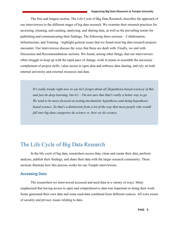The first and longest section, The Life Cycle of Big Data Research, describes the approach of our interviewees to the different stages of big data research. We examine their research practices for accessing, cleaning, and curating, analyzing, and sharing data, as well as the prevailing norms for publishing and communicating their findings. The following three sections – Collaboration, Infrastructure, and Training – highlight general issues that we found most big data research projects encounter. Our interviewees discuss the ways that these are dealt with. Finally, we end with Discussion and Recommendations sections. We found, among other things, that our interviewees often struggle to keep up with the rapid pace of change, work in teams to assemble the necessary complement of project skills, value access to open data and embrace data sharing, and rely on both internal university and external resources and data.

*It's really trendy right now to say let's forget about all [hypothesis-based science] of this and just do deep learning, but it's – I'm not sure that that's really a better way to go. We tend to be more focused on testing mechanistic hypotheses and doing hypothesisbased science. So that's a distinction from a lot of the way that most people who would fall into big data categories do science vs. how we do science.*

# <span id="page-4-0"></span>The Life Cycle of Big Data Research

In the life cycle of big data, researchers access data, clean and curate their data, perform analysis, publish their findings, and share their data with the larger research community. These sections illustrate how this process works for our Temple interviewees.

### <span id="page-4-1"></span>Accessing Data

The researchers we interviewed accessed and used data in a variety of ways. Many emphasized that having access to open and comprehensive data was important to doing their work. Some generated their own data and some used data combined from different sources. All were aware of security and privacy issues relating to data.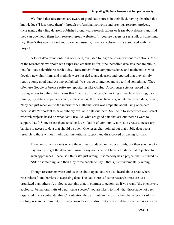We found that researchers are aware of good data sources in their field, having absorbed this knowledge ("I just know them") through professional networks and previous research projects. Increasingly they find datasets published along with research papers or learn about datasets and find they can download them from research group websites. "…you see papers or see a talk or something hey, there's this new data set and so on, and usually, there's a website that's associated with the project."

A lot of data found online is open data, available for anyone to use without restrictions. Most of the researchers we spoke with expressed enthusiasm for, "the incredible data sets that are public," that facilitate scientific research today. Researchers from computer science and mathematics who develop new algorithms and methods were not tied to any datasets and reported that they simply require some good data. As one explained, "we just go to internet and try to find something." They often use Google or browse software repositories like GitHub. A computer scientist noted that having access to online data means that "the majority of people working in machine learning, data mining, big data, computer science, in these areas, they don't have to generate their own data," since, "they can just reach out to the internet." A mathematician was emphatic about using open data because it's "important to have publicly available data out there. So, I tend to sometimes even select research projects based on what data I use. So, what are good data that are out there? I want to support that." Some researchers consider it a violation of community norms to create unnecessary barriers to access to data that should be open. One researcher pointed out that public data opens research to those without traditional institutional support and disapproved of paying for data:

There are some data sets where the – it was produced on Federal funds, but then you have to pay money to get the data, and I usually say no, because I have a fundamental objection to such approaches... because I think it's just wrong; if somebody has a project that is funded by NSF or something, and then they force people to pay…that's just fundamentally wrong.

Though researchers were enthusiastic about open data, we also heard about areas where researchers found barriers to accessing data. The data stores of some research areas are less organized than others. A biologist explains that, in contrast to genomics, if you want "the phenotypic ecological behavioral traits of a particular species" you are likely to find "that those have not been organized into a central database," a situation they attribute to the distinctive characteristics of the ecology research community. Privacy considerations also limit access to data in such areas as health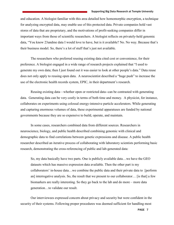#### Supporting Big Data Research at Temple University

and education. A biologist familiar with this area detailed how homomorphic encryption, a technique for analyzing encrypted data, may enable use of this protected data. Private companies hold vast stores of data that are proprietary, and the motivations of profit-seeking companies differ in important ways from those of scientific researchers. A biologist reflects on privately-held genomic data, "You know 23andme data I would love to have, but is it available? No. No way. Because that's their business model. So, there's a lot of stuff that's just not available.

The researchers who preferred reusing existing data cited cost or convenience, for their preference. A biologist engaged in a wide range of research projects explained that "I used to generate my own data; then I just found out it was easier to look at other people's data." Data reuse does not only apply to reusing open data. A neuroscientist described a "huge push" to increase the use of the electronic health records system, EPIC, in their department's research.

Reusing existing data—whether open or restricted data--can be contrasted with generating data. Generating data can be very costly in terms of both time and money. A physicist, for instance, collaborates on experiments using colossal energy-intensive particle accelerators. While generating and capturing enormous volumes of data, these experimental apparatuses are funded by national governments because they are so expensive to build, operate, and maintain.

In some cases, researchers combined data from different sources. Researchers in neuroscience, biology, and public health described combining genomic with clinical and demographic data to find correlations between genetic expressions and disease. A public health researcher described an iterative process of collaborating with laboratory scientists performing basic research, demonstrating the cross-referencing of public and lab-generated data:

So, my data basically have two parts. One is publicly available data…we have the GEO datasets which has massive expression data available. Then the other part is my collaborators' in-house data…we combine the public data and their private data to [perform an] interrogative analysis. So, the result that we present to our collaborator… [is that] a few biomarkers are really interesting. So they go back to the lab and do more – more data generation…to validate our result.

Our interviewees expressed concern about privacy and security but were confident in the security of their systems. Following proper procedures was deemed sufficient for handling most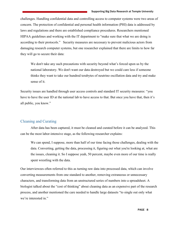challenges. Handling confidential data and controlling access to computer systems were two areas of concern. The protection of confidential and personal health information (PHI) data is addressed by laws and regulations and there are established compliance procedures. Researchers mentioned HIPAA guidelines and working with the IT department to "make sure that what we are doing is according to their protocols." Security measures are necessary to prevent malicious actors from damaging research computer systems, but one researcher explained that there are limits to how far they will go to secure their data:

We don't take any such precautions with security beyond what's forced upon us by the national laboratory. We don't want our data destroyed but we could care less if someone thinks they want to take our hundred terabytes of neutrino oscillation data and try and make sense of it.

Security issues are handled through user access controls and standard IT security measures: "you have to have the user ID at the national lab to have access to that. But once you have that, then it's all public, you know."

### <span id="page-7-0"></span>Cleaning and Curating

After data has been captured, it must be cleaned and curated before it can be analyzed. This can be the most labor-intensive stage, as the following researcher explains:

We can spend, I suppose, more than half of our time facing those challenges, dealing with the data. Converting, getting the data, processing it, figuring out what you're looking at, what are the issues, cleaning it. So I suppose yeah, 50 percent, maybe even more of our time is really spent wrestling with the data.

Our interviewees often referred to this as turning raw data into processed data, which can involve converting measurements from one standard to another, removing extraneous or unnecessary characters, and transforming data from an unstructured series of numbers into a spreadsheet. A biologist talked about the "cost of thinking" about cleaning data as an expensive part of the research process, and another mentioned the care needed to handle large datasets "to single out only what we're interested in."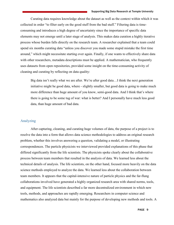#### Supporting Big Data Research at Temple University

Curating data requires knowledge about the dataset as well as the context within which it was collected in order "to filter early on the good stuff from the bad stuff." Filtering data is timeconsuming and introduces a high degree of uncertainty since the importance of specific data elements may not emerge until a later stage of analysis. This makes data curation a highly iterative process whose burden falls directly on the research team. A researcher explained that a team could spend six months curating data "unless you discover you made some stupid mistake the first time around," which might necessitate starting over again. Finally, if one wants to effectively share data with other researchers, metadata descriptions must be applied. A mathematician, who frequently uses datasets from open repositories, provided some insight on the time-consuming activity of cleaning and curating by reflecting on data quality:

Big data isn't really what we are after. We're after good data…I think the next generation initiative might be good data, where - slightly smaller, but good data is going to make much more difference than huge amount of you know, semi-good data. And I think that's where there is going to be some tug of war: what is better? And I personally have much less good data, than huge amount of bad data.

### <span id="page-8-0"></span>Analyzing

After capturing, cleaning, and curating huge volumes of data, the purpose of a project is to resolve the data into a form that allows data science methodologies to address an original research problem, whether this involves answering a question, validating a model, or illustrating correspondences. The particle physicists we interviewed provided explanations of this phase that differed significantly from the life scientists. The physicists spoke clearly about the collaborative process between team members that resulted in the analysis of data. We learned less about the technical details of analysis. The life scientists, on the other hand, focused more heavily on the data science methods employed to analyze the data. We learned less about the collaboration between team members. It appears that the capital-intensive nature of particle physics and the far-flung collaborations involved have generated a highly organized research area with shared norms, tools, and equipment. The life scientists described a far more decentralized environment in which new tools, methods, and approaches are rapidly emerging. Researchers in computer science and mathematics also analyzed data but mainly for the purpose of developing new methods and tools. A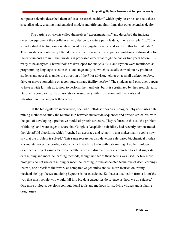computer scientist described themself as a "research enabler," which aptly describes one role these specialists play, creating mathematical models and efficient algorithms that other scientists deploy.

The particle physicists called themselves "experimentalists" and described the intricate detection equipment they collaboratively design to capture particle data, in one example, "…250 or so individual detector components are read out at gigahertz rates, and we form this train of data." This raw data is continually filtered to converge on results of computer simulations performed before the experiments are run. The raw data is processed over what might be one or two years before it is ready to be analyzed. Shared tools are developed for analysis. C++ and Python were mentioned as programming languages used in this late-stage analysis, which is usually carried out by graduate students and post-docs under the direction of the PI or advisor, "either on a small desktop terabyte drive or maybe something on a computer storage facility nearby." The students and post-docs appear to have a wide latitude as to how to perform their analysis, but it is scrutinized by the research team. Despite its complexity, the physicists expressed very little frustration with the tools and infrastructure that supports their work.

Of the biologists we interviewed, one, who self-describes as a biological physicist, uses data mining methods to study the relationship between nucleotide sequences and protein structures, with the goal of developing a predictive model of protein structure. They referred to this as "the problem of folding" and were eager to share that Google's DeepMind subsidiary had recently demonstrated the AlphaFold algorithm, which "reached an accuracy and reliability that makes many people now say that the problem is solved." This same researcher also develops rule-based biochemical models to simulate molecular configurations, which has little to do with data mining. Another biologist described a project using electronic health records to discover disease comorbidities that suggests data mining and machine learning methods, though neither of those terms was used. A few more biologists do not use data mining or machine learning (or the associated technique of deep learning). Instead, one describes their work as comparative genomics and is "more focused on testing mechanistic hypotheses and doing hypothesis-based science. So that's a distinction from a lot of the way that most people who would fall into big data categories do science vs. how we do science." One more biologist develops computational tools and methods for studying viruses and isolating drug targets.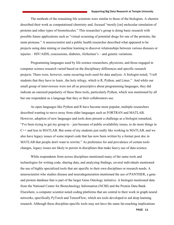The methods of the remaining life scientists were similar to those of the biologists. A chemist described their work as computational chemistry and, focused "mostly [on] molecular simulation of proteins and other types of biomolecules." This researcher's group is doing basic research with possible future applications such as "virtual screening of potential drugs for one of the proteins, the main protease." A neuroscientist and a public health researcher described what appeared to be projects using data mining or machine learning to discover relationships between various diseases or injuries – HIV/AIDS, concussions, diabetes, Alzheimer's – and genetic variations.

Programming languages used by life science researchers, physicists, and those engaged in computer science research varied based on the disciplinary differences and specific research projects. There were, however, some recurring tools used for data analysis. A biologist noted, "I tell students that they have to learn...the holy trilogy, which is R, Python, and Linux." And while our small group of interviewees were not all as prescriptive about programming languages, they did indicate an outsized popularity of these three tools, particularly Python, which was mentioned by all but one respondent as a language that they or their collaborators use.

As open languages like Python and R have become more popular, multiple researchers described wanting to move away from older languages such as FORTRAN and MATLAB. However, adoption of new languages and tools does present a challenge as a biologist remarked, "I've been trying to get my group to – just because of public availability issues, to do more things in C++ and less in MATLAB. But some of my students just really like working in MATLAB, and we also have legacy issues of some import code that has now been written by a former post doc in MATLAB that people don't want to rewrite." As preference for and prevalence of certain tools changes, legacy issues are likely to persist in disciplines that make heavy use of data science.

While respondents from across disciplines mentioned many of the same tools and technologies for writing code, sharing data, and analyzing findings, several individuals mentioned the use of highly specialized tools that are specific to their own disciplines or research needs. A neuroscientist who studies disease and neurodegeneration mentioned the use of PANTHER, a gene and protein database that is part of the larger Gene Ontology initiative. A biologist mentioned data from the National Center for Biotechnology Information (NCBI) and the Protein Data Bank. Elsewhere, a computer scientist noted coding platforms that are central to their work in graph neural networks, specifically PyTorch and TensorFlow, which are tools developed to aid deep learning research. Although these discipline-specific tools may not have the same far-reaching implications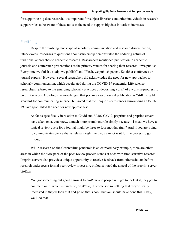for support to big data research, it is important for subject librarians and other individuals in research support roles to be aware of these tools as the need to support big data initiatives increases.

### <span id="page-11-0"></span>Publishing

Despite the evolving landscape of scholarly communication and research dissemination, interviewees' responses to questions about scholarship demonstrated the enduring nature of traditional approaches to academic research. Researchers mentioned publication in academic journals and conference presentations as the primary venues for sharing their research: "We publish. Every time we finish a study, we publish" and "Yeah, we publish papers. So either conference or journal papers." However, several researchers did acknowledge the need for new approaches to scholarly communication, which accelerated during the COVID-19 pandemic. Life science researchers referred to the emerging scholarly practices of depositing a draft of a work-in-progress to preprint servers. A biologist acknowledged that peer-reviewed journal publication is "still the gold standard for communicating science" but noted that the unique circumstances surrounding COVID-19 have spotlighted the need for new approaches:

As far as specifically in relation to Covid and SARS-CoV-2, preprints and preprint servers have taken on a, you know, a much more prominent role simply because – I mean we have a typical review cycle for a journal might be three to four months, right? And if you are trying to communicate science that is relevant right then, you cannot wait for the process to go through.

While research on the Coronavirus pandemic is an extraordinary example, there are other areas in which the slow pace of the peer-review process stands at odds with time-sensitive research. Preprint servers also provide a unique opportunity to receive feedback from other scholars before research undergoes a formal peer review process. A biologist noted the appeal of the preprint server bioRxiv:

You got something out good, throw it to bioRxiv and people will get to look at it, they get to comment on it, which is fantastic, right? So, if people see something that they're really interested in they'll look at it and go oh that's cool, but you should have done this. Okay, we'll do that.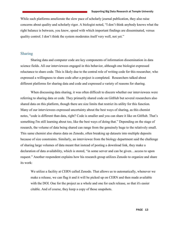While such platforms ameliorate the slow pace of scholarly journal publication, they also raise concerns about quality and scholarly rigor. A biologist noted, "I don't think anybody knows what the right balance is between, you know, speed with which important findings are disseminated, versus quality control. I don't think the system moderates itself very well, not yet."

### <span id="page-12-0"></span>Sharing

Sharing data and computer code are key components of information dissemination in data science fields. All our interviewees engaged in this behavior, although one biologist expressed reluctance to share code. This is likely due to the central role of writing code for this researcher, who expressed a willingness to share code after a project is completed. Researchers talked about different platforms for sharing data and code and expressed a variety of reasons for sharing.

When discussing data sharing, it was often difficult to discern whether our interviewees were referring to sharing data or code. They primarily shared code on GitHub but several researchers also shared data on this platform, though there are size limits that restrict its utility for this function. Many of our interviewees expressed uncertainty about the best ways of sharing, as this chemist notes, "code is different than data, right? Code is smaller and you can share it like on GitHub. That's something I'm still learning about too, like the best ways of doing that." Depending on the stage of research, the volume of data being shared can range from the genuinely huge to the relatively small. This same chemist also shares data on Zenodo, often breaking up datasets into multiple deposits because of size constraints. Similarly, an interviewee from the biology department said the challenge of sharing large volumes of data meant that instead of posting a download link, they make a declaration of data availability, which is stored, "in some server and can be given…access to upon request." Another respondent explains how his research group utilizes Zenodo to organize and share its work:

We utilize a facility at CERN called Zenodo. That allows us to automatically, whenever we make a release, we can flag it and it will be picked up on CERN and then made available with the DOI. One for the project as a whole and one for each release, so that it's easier citable. And of course, they keep a copy of those snapshots.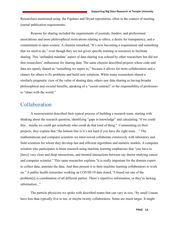Researchers mentioned using the Figshare and Dryad repositories, often in the context of meeting journal publication requirements.

Reasons for sharing included the requirements of journals, funders, and professional associations and more philosophical motivations relating to ethics, a desire for transparency, and a commitment to open science. A chemist remarked, "It's now becoming a requirement and something that we need to do," even though they are not given specific training or resources to facilitate sharing. This 'unfunded mandate' aspect of data sharing was echoed by other researchers but did not dim researchers' enthusiasm for sharing data. The same chemist described projects where code and data are openly shared as "something we aspire to," because it allows for more collaboration and a chance for others to fix problems and build new solutions. While many researchers shared a similarly pragmatic view of the value of sharing data, others saw data sharing as having broader philosophical and societal benefits, speaking of a "social contract" or the responsibility of professors to "share with the world."

### <span id="page-13-0"></span>Collaboration

A neuroscientist described their typical process of building a research team, starting with thinking about the research question, identifying "gaps in knowledge" and calculating "if we could this…maybe we could get somebody who could do that kind of thing." Commenting on their projects, they explain that "the bottom line is it's not hard if you have the right team…" The mathematician and computer scientists we interviewed collaborate extensively with laboratory and field scientists for whom they develop fast and efficient algorithms and numeric models. A computer scientist who participates in brain research using machine learning emphasizes that "you have to [have] very close and deep interactions, and iterated interactions between say doctor studying cancer and computer scientist." This same researcher explains "it is really important for the domain expert to collect data, annotate the data. And then present it to their machine learning collaborators to work on." A public health researcher working on COVID-19 data stated, "I found out one of the problem[s] is coordination of all different parties. There's repetitive information, or they're lacking information..."

The particle physicists we spoke with described teams that can vary in size, "by small I mean have less than typically five to ten, or maybe twenty collaborators. Some are much larger. It might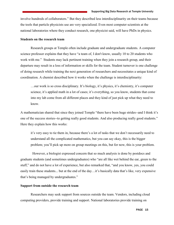involve hundreds of collaborators." But they described less interdisciplinarity on their teams because the tools that particle physicists use are very specialized. Even most computer scientists at the national laboratories where they conduct research, one physicist said, will have PhDs in physics.

#### **Students on the research team**

Research groups at Temple often include graduate and undergraduate students. A computer science professor explains that they have "a team of, I don't know, usually 10 to 20 students who work with me." Students may lack pertinent training when they join a research group, and their departure may result in a loss of information or skills for the team. Student turnover is one challenge of doing research while training the next generation of researchers and necessitates a unique kind of coordination. A chemist described how it works when the challenge is interdisciplinarity:

…our work is so cross disciplinary. It's biology, it's physics, it's chemistry, it's computer science, it's applied math in a lot of cases; it's everything, so you know, students that come into my lab come from all different places and they kind of just pick up what they need to know.

A mathematician shared that since they joined Temple "there have been huge strides--and I think it's one of the success stories--to getting really good students. And also producing really good students." Here they explain how this works:

it's very easy to tie them in, because there's a lot of tasks that we don't necessarily need to understand all the complicated mathematics, but you can say okay, this is the bigger problem; you'll pick up more on group meetings on this, but for now, this is your problem.

 However, a biologist expressed concern that so much analysis is done by postdocs and graduate students (and sometimes undergraduates) who "are all like wet behind the ear, green to the stuff," and do not have a lot of experience, but also remarked that, "and you know, yes, you could easily train these students... but at the end of the day…it's basically data that's like, very expensive that's being managed by undergraduates."

### **Support from outside the research team**

Researchers may seek support from sources outside the team. Vendors, including cloud computing providers, provide training and support. National laboratories provide training on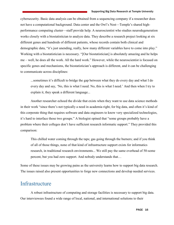cybersecurity. Basic data analysis can be obtained from a sequencing company if a researcher does not have a computational background. Data center and the Owl's Nest—Temple's shared highperformance computing cluster—staff provide help. A neuroscientist who studies neurodegeneration works closely with a biostatistician to analyze data. They describe a research project looking at six different genes and hundreds of different patients, whose records contain both clinical and demographic data, "it's just unending, really, how many different variables have to come into play." Working with a biostatistician is necessary. "[Our biostatistician] is absolutely amazing and he helps me – well, he does all the work. All the hard work." However, while the neuroscientist is focused on specific genes and mechanisms, the biostatistician's approach is different, and it can be challenging to communicate across disciplines:

...sometimes it's difficult to bridge the gap between what they do every day and what I do every day and say, 'No, this is what I need. No, this is what I need.' And then when I try to explain it, they speak a different language...

Another researcher echoed the divide that exists when they want to use data science methods in their work "since there's not typically a need in academia right, for big data, and often it's kind of this corporate thing that requires software and data engineers to know very specialized technologies, it's hard to interface those two groups." A biologist opined that "some groups probably have a problem where their colleges don't have sufficient research informatic support." They provided this comparison:

This chilled water coming through the taps; gas going through the burners; and if you think of all of those things, none of that kind of infrastructure support exists for informatics research, in traditional research environments... We still pay the same overhead of 50-some percent, but you had zero support. And nobody understands that…

Some of these issues may be growing pains as the university learns how to support big data research. The issues raised also present opportunities to forge new connections and develop needed services.

### <span id="page-15-0"></span>**Infrastructure**

A robust infrastructure of computing and storage facilities is necessary to support big data. Our interviewees found a wide range of local, national, and international solutions to their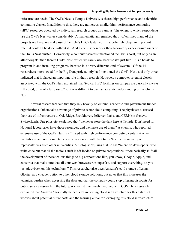#### Supporting Big Data Research at Temple University

infrastructure needs. The Owl's Nest is Temple University's shared high performance and scientific computing cluster. In addition to this, there are numerous smaller high-performance computing (HPC) resources operated by individual research groups on campus. The extent to which respondents use the Owl's Nest varies considerably. A mathematician remarked that, "oftentimes many of the projects we have, we make use of Temple's HPC cluster, so…that definitely plays an important role... it couldn't be done without it." And a chemist describes their laboratory as "extensive users of the Owl's Nest cluster." Conversely, a computer scientist mentioned the Owl's Nest, but only as an afterthought: "then there's Owl's Nest, which we rarely use, because it's just like – it's a hassle to program it, and installing programs, because it is a very different kind of system." Of the 14 researchers interviewed for the Big Data project, only half mentioned the Owl's Nest, and only three indicated that it played an important role in their research. However, a computer scientist closely associated with the Owl's Nest explained that "typical HPC facilities on campus are basically always fully used, or nearly fully used," so it was difficult to gain an accurate understanding of the Owl's Nest.

Several researchers said that they rely heavily on external academic and government-funded organizations. Others take advantage of private sector cloud computing. The physicists discussed their use of infrastructure at Oak Ridge, Brookhaven, Jefferson Labs, and CERN (in Geneva, Switzerland). One physicist explained that "we never store the data here at Temple. Don't need to. National laboratories have those resources, and we make use of them." A chemist who reported extensive use of the Owl's Nest is affiliated with high performance computing centers at other institutions, and one computer scientist associated with the Owl's Nest meets annually with representatives from other universities. A biologist explains that he has "scientific developers" who write code but that all the tedious stuff is off-loaded on private corporations, "You basically shift all the development of these tedious things to big corporations like, you know, Google, Apple, and consortia that make sure that all your web browsers run superfast, and support everything, so you just piggyback on this technology." This researcher also uses Amazon's cold storage offering, Glacier, as a cheaper option to other cloud storage solutions, but notes that this increases the technical burden when accessing the data and that the company could stop offering discounts for public service research in the future. A chemist intensively involved with COVID-19 research explained that Amazon "has really helped a lot in hosting cloud infrastructure for this data" but worries about potential future costs and the learning curve for leveraging this cloud infrastructure.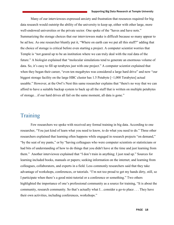Many of our interviewees expressed anxiety and frustration that resources required for big data research would outstrip the ability of the university to keep up, either with other large, more well-endowed universities or the private sector. One spoke of the "haves and have nots." Summarizing the storage choices that our interviewees make is difficult because so many appear to be ad hoc. As one researcher bluntly put it, "Where on earth can we put all this stuff?" adding that the choice of storage is critical before even starting a project. A computer scientist worries that Temple is "not geared up to be an institution where we can truly deal with the real data of the future." A biologist explained that "molecular simulations tend to generate an enormous volume of data. So, it's easy to fill up terabytes just with one project." A computer scientist explained that when they began their career, "even ten megabytes was considered a large hard drive" and now "our biggest storage facility on the large HBC cluster has 1.5 Petabyte  $\lceil \sim 1,000 \rceil$  Terabytes actual useable." However, at the Owl's Nest this same researcher explains that "there's no way that we can afford to have a suitable backup system to back up all the stuff that is written on multiple petabytes of storage…if our hard drives all fail on the same moment, all data is gone."

# <span id="page-17-0"></span>**Training**

Few researchers we spoke with received any formal training in big data. According to one researcher, "You just kind of learn what you need to know, to do what you need to do." Three other researchers explained that learning often happens while engaged in research projects "on demand," "by the seat of my pants," or by "having colleagues who were computer scientists or statisticians or had bits of understanding of how to do things that you didn't have at the time and just learning from them." Another interviewee explained that "I don't train in anything; I just read up." Sources for learning included books, manuals or papers; seeking information on the internet; and learning from colleagues, collaborators, and experts in a field. Less commonly researchers said that they take advantage of workshops, conferences, or tutorials. "I'm not too proud to get my hands dirty, still, so I participate when there's a good mini-tutorial or a conference or something." Two others highlighted the importance of one's professional community as a source for training, "It is about the community, research community. So that's actually what I…consider a go-to place . . . They have their own activities, including conferences, workshops."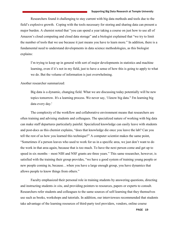Researchers found it challenging to stay current with big data methods and tools due to the field's explosive growth. Coping with the tools necessary for storing and sharing data can present a major burden. A chemist noted that "you can spend a year taking a course on just how to use all of Amazon's cloud computing and cloud data storage" and a biologist explained that "we try to limit the number of tools that we use because it just means you have to learn more." In addition, there is a fundamental need to understand developments in data science methodologies, as this biologist explains:

I'm trying to keep up in general with sort of major developments in statistics and machine learning, even if it's not in my field, just to have a sense of how this is going to apply to what we do. But the volume of information is just overwhelming.

Another researcher summarized:

Big data is a dynamic, changing field. What we are discussing today potentially will be new topics tomorrow. It's a learning process. We never say, 'I know big data." I'm learning big data every day.'

 The complexity of the workflow and collaborative environment means that researchers are often training and advising students and colleagues. The specialized nature of working with big data can make staff departures particularly painful. Specialized knowledge can easily leave with students and post-docs as this chemist explains, "does that knowledge die once you leave the lab? Can you tell the rest of us how you learned this technique?" A computer scientist makes the same point, "Sometimes if a person leaves who used to work for us in a specific area, we just don't want to do the work in that area again, because that is too much. To have the next person come and get up to speed in six months – most NIH and NSF grants are three years." This same researcher, however, is satisfied with the training their group provides, "we have a good system of training young people or new people coming in, because…when you have a large enough group, you have dynamics that allows people to know things from others."

 Faculty emphasized their personal role in training students by answering questions, directing and instructing students *in situ*, and providing pointers to resources, papers or experts to consult. Researchers refer students and colleagues to the same sources of self-learning that they themselves use such as books, workshops and tutorials. In addition, our interviewees recommended that students take advantage of the learning resources of third-party tool providers, vendors, online course

PAGE 19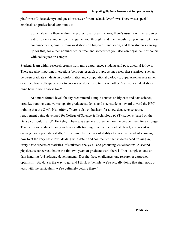platforms (Codeacademy) and question/answer forums (Stack Overflow). There was a special emphasis on professional communities:

So, whatever is there within the professional organizations, there's usually online resources; video tutorials and so on that guide you through, and then regularly, you just get these announcements, emails, mini workshops on big data…and so on, and then students can sign up for this, for either nominal fee or free, and sometimes you also can organize it of course with colleagues on campus.

Students learn within research groups from more experienced students and post-doctoral fellows. There are also important interactions between research groups, as one researcher surmised, such as between graduate students in bioinformatics and computational biology groups. Another researcher described how colleagues work to encourage students to train each other, "can your student show mine how to use TensorFlow?"

 At a more formal level, faculty recommend Temple courses on big data and data science, organize summer data workshops for graduate students, and steer students toward toward the HPC training that the Owl's Nest offers. There is also enthusiasm for a new data science course requirement being developed for College of Science & Technology (CST) students, based on the Data 8 curriculum at UC Berkeley. There was a general agreement on the broader need for a stronger Temple focus on data literacy and data skills training. Even at the graduate level, a physicist is dismayed over poor data skills, "I'm amazed by the lack of ability of a graduate student knowing how to at the very basic level dealing with data," and commented that students need training in, "very basic aspects of statistics, of statistical analysis," and producing visualizations. A second physicist is concerned that in the first two years of graduate work there is "not a single course on data handling [or] software development." Despite these challenges, one researcher expressed optimism, "Big data is the way to go, and I think at Temple, we're actually doing that right now, at least with the curriculum, we're definitely getting there."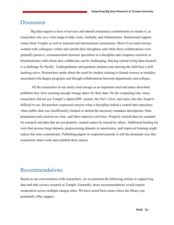# <span id="page-20-0"></span>**Discussion**

Big data requires a host of services and shared community commitments to sustain it, as researchers rely on a wide range of data, tools, methods, and infrastructure. Institutional support comes from Temple as well as national and international consortiums. Most of our interviewees worked with colleagues within and outside their disciplines and while these collaborations were generally positive, communication between specialists in a discipline and computer scientists or biostatisticians with whom they collaborate can be challenging. Staying current in big data research is a challenge for faculty. Undergraduates and graduate students just entering the field face a stiff learning curve. Researchers spoke about the need for student training in formal courses or modules associated with degree programs and through collaborations between departments and colleges.

All the researchers in our study cited storage as an important need and many described problems they have securing enough storage space for their data. On the computing side, many researchers did not use Temple's shared HPC system, the Owl's Nest, and some who did, found it difficult to use. Researchers expressed concern when a discipline lacked a central data repository, when public data was insufficiently cleaned or lacked the necessary metadata descriptions. Data preparation and curation are time- and labor-intensive activities. Properly curated data are essential for research and data that are not properly curated cannot be reused by others. Additional funding for tools that process large datasets, preprocessing datasets in repositories, and improved training might reduce this time commitment. Publishing papers in respected journals is still the dominant way that researchers share work and establish their careers.

# <span id="page-20-1"></span>Recommendations

Based on our conversations with researchers, we recommend the following actions to support big data and data science research at Temple. Generally, these recommendations would require cooperation across multiple campus units. We have noted those areas where the library can potentially offer support.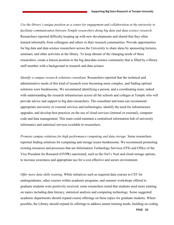*Use the library's unique position as a center for engagement and collaboration at the university to facilitate communication between Temple researchers doing big data and data science research.* Researchers reported difficulty keeping up with new developments and shared that they often learned informally from colleagues and others in their research communities. Provide opportunities for big data and data science researchers across the University to share ideas by sponsoring lectures, seminars, and other activities at the library. To keep abreast of the changing needs of these researchers, create a liaison position to the big data/data science community that is filled by a library staff member with a background in research and data science.

*Identify a campus research solutions consultant.* Researchers reported that the technical and administrative needs of this kind of research were becoming more complex, and finding optimal solutions were burdensome. We recommend identifying a person, and a coordinating team, tasked with understanding the research infrastructure across all the schools and colleges at Temple who will provide advice and support to big data researchers. The consultant and team can recommend appropriate university or external services and technologies, identify the need for infrastructure upgrades, and develop best practices on the use of cloud services (internal or external), computer code and data management. This team could maintain a centralized information hub of university informatics and statistical services available to researchers.

*Promote campus solutions for high performance computing and data storage.* Some researchers reported finding solutions for computing and storage issues burdensome. We recommend promoting existing resources and processes that are Information Technology Services (ITS) and Office of the Vice President for Research (OVPR) sanctioned, such as the Owl's Nest and cloud storage options, to increase awareness and appropriate use for a cost effective and secure environment.

*Offer more data skills training.* While initiatives such as required data courses in CST for undergraduates, other courses within academic programs, and summer workshops offered to graduate students were positively received, some researchers noted that students need more training on topics including data literacy, statistical analysis and computing technology. Some suggested academic departments should expand course offerings on these topics for graduate students. Where possible, the Library should expand its offerings to address unmet training needs, building on coding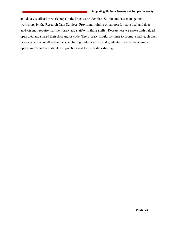<span id="page-22-0"></span>and data visualization workshops in the Duckworth Scholars Studio and data management workshops by the Research Data Services. Providing training or support for statistical and data analysis may require that the library add staff with those skills. Researchers we spoke with valued open data and shared their data and/or code. The Library should continue to promote and teach open practices to ensure all researchers, including undergraduate and graduate students, have ample opportunities to learn about best practices and tools for data sharing.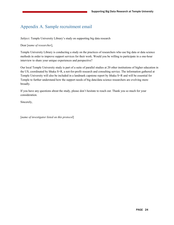## Appendix A. Sample recruitment email

*Subject*. Temple University Library's study on supporting big data research

### Dear [*name of researcher*],

Temple University Library is conducting a study on the practices of researchers who use big data or data science methods in order to improve support services for their work. Would you be willing to participate in a one-hour interview to share your unique experiences and perspective?

Our local Temple University study is part of a suite of parallel studies at 20 other institutions of higher education in the US, coordinated by Ithaka S+R, a not-for-profit research and consulting service. The information gathered at Temple University will also be included in a landmark capstone report by Ithaka S+R and will be essential for Temple to further understand how the support needs of big data/data science researchers are evolving more broadly.

If you have any questions about the study, please don't hesitate to reach out. Thank you so much for your consideration.

Sincerely,

<span id="page-23-0"></span>[*name of investigator listed on this protocol*]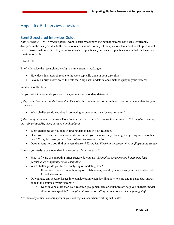### Appendix B. Interview questions

### Semi-Structured Interview Guide

*Note regarding COVID-19 disruption* I want to start by acknowledging that research has been significantly disrupted in the past year due to the coronavirus pandemic. For any of the questions I'm about to ask, please feel free to answer with reference to your normal research practices, your research practices as adapted for the crisis situation, or both.

#### Introduction

Briefly describe the research project(s) you are currently working on.

- How does this research relate to the work typically done in your discipline?
- Give me a brief overview of the role that "big data" or data science methods play in your research.

#### Working with Data

Do you collect or generate your own data, or analyze secondary datasets?

*If they collect or generate their own data* Describe the process you go through to collect or generate data for your research.

• What challenges do you face in collecting or generating data for your research?

*If they analyze secondary datasets* How do you find and access data to use in your research? *Examples: scraping the web, using APIs, using subscription databases*

- What challenges do you face in finding data to use in your research?
- Once you've identified data you'd like to use, do you encounter any challenges in getting access to this data? *Examples: cost, format, terms of use, security restrictions*
- Does anyone help you find or access datasets? *Examples: librarian, research office staff, graduate student*

How do you analyze or model data in the course of your research?

- What software or computing infrastructure do you use? *Examples: programming languages, highperformance computing, cloud computing*
- What challenges do you face in analyzing or modeling data?
	- o If you work with a research group or collaborators, how do you organize your data and/or code for collaboration?
- Do you take any security issues into consideration when deciding how to store and manage data and/or code in the course of your research?
	- o Does anyone other than your research group members or collaborators help you analyze, model, store, or manage data? *Examples: statistics consulting service, research computing staff*

Are there any ethical concerns you or your colleagues face when working with data?